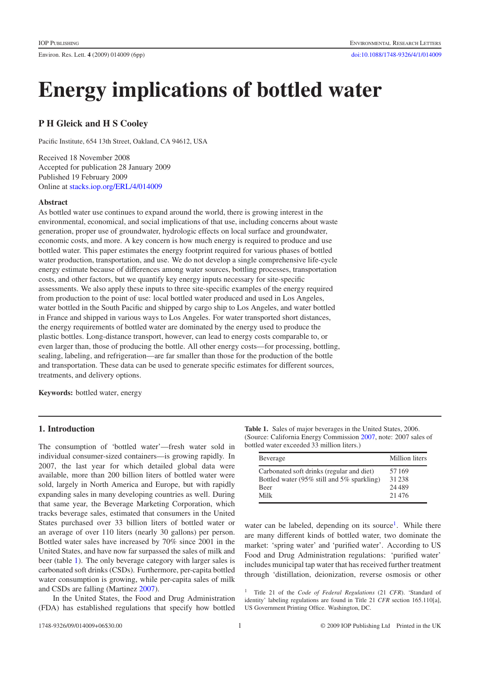# **Energy implications of bottled water**

# **P H Gleick and H S Cooley**

Pacific Institute, 654 13th Street, Oakland, CA 94612, USA

Received 18 November 2008 Accepted for publication 28 January 2009 Published 19 February 2009 Online at [stacks.iop.org/ERL/4/014009](http://stacks.iop.org/ERL/4/014009)

# **Abstract**

As bottled water use continues to expand around the world, there is growing interest in the environmental, economical, and social implications of that use, including concerns about waste generation, proper use of groundwater, hydrologic effects on local surface and groundwater, economic costs, and more. A key concern is how much energy is required to produce and use bottled water. This paper estimates the energy footprint required for various phases of bottled water production, transportation, and use. We do not develop a single comprehensive life-cycle energy estimate because of differences among water sources, bottling processes, transportation costs, and other factors, but we quantify key energy inputs necessary for site-specific assessments. We also apply these inputs to three site-specific examples of the energy required from production to the point of use: local bottled water produced and used in Los Angeles, water bottled in the South Pacific and shipped by cargo ship to Los Angeles, and water bottled in France and shipped in various ways to Los Angeles. For water transported short distances, the energy requirements of bottled water are dominated by the energy used to produce the plastic bottles. Long-distance transport, however, can lead to energy costs comparable to, or even larger than, those of producing the bottle. All other energy costs—for processing, bottling, sealing, labeling, and refrigeration—are far smaller than those for the production of the bottle and transportation. These data can be used to generate specific estimates for different sources, treatments, and delivery options.

**Keywords:** bottled water, energy

# **1. Introduction**

The consumption of 'bottled water'—fresh water sold in individual consumer-sized containers—is growing rapidly. In 2007, the last year for which detailed global data were available, more than 200 billion liters of bottled water were sold, largely in North America and Europe, but with rapidly expanding sales in many developing countries as well. During that same year, the Beverage Marketing Corporation, which tracks beverage sales, estimated that consumers in the United States purchased over 33 billion liters of bottled water or an average of over 110 liters (nearly 30 gallons) per person. Bottled water sales have increased by 70% since 2001 in the United States, and have now far surpassed the sales of milk and beer (table [1\)](#page-0-0). The only beverage category with larger sales is carbonated soft drinks (CSDs). Furthermore, per-capita bottled water consumption is growing, while per-capita sales of milk and CSDs are falling (Martinez [2007\)](#page-5-0).

In the United States, the Food and Drug Administration (FDA) has established regulations that specify how bottled

<span id="page-0-0"></span>**Table 1.** Sales of major beverages in the United States, 2006. (Source: California Energy Commission [2007,](#page-5-1) note: 2007 sales of bottled water exceeded 33 million liters.)

| Beverage                                   | Million liters |
|--------------------------------------------|----------------|
| Carbonated soft drinks (regular and diet)  | 57169          |
| Bottled water (95% still and 5% sparkling) | 31 238         |
| <b>Beer</b>                                | 24489          |
| Milk                                       | 21476          |

<span id="page-0-1"></span>water can be labeled, depending on its source<sup>1</sup>. While there are many different kinds of bottled water, two dominate the market: 'spring water' and 'purified water'. According to US Food and Drug Administration regulations: 'purified water' includes municipal tap water that has received further treatment through 'distillation, deionization, reverse osmosis or other

<sup>1</sup> Title 21 of the *Code of Federal Regulations* (21 *CFR*). 'Standard of identity' labeling regulations are found in Title 21 *CFR* section 165.110[a], US Government Printing Office. Washington, DC.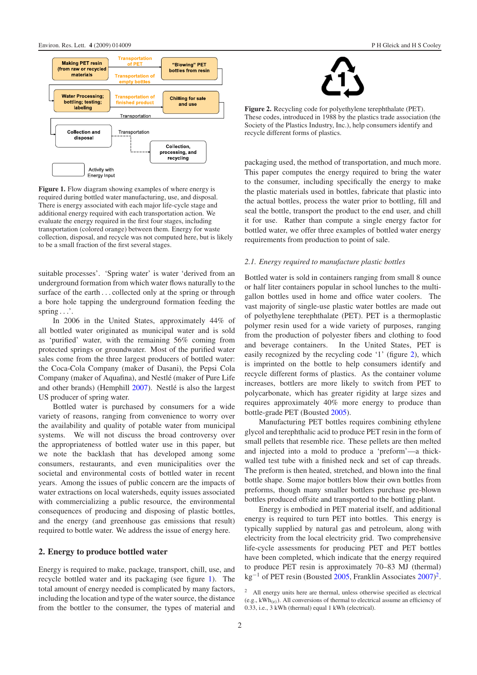<span id="page-1-0"></span>

**Figure 1.** Flow diagram showing examples of where energy is required during bottled water manufacturing, use, and disposal. There is energy associated with each major life-cycle stage and additional energy required with each transportation action. We evaluate the energy required in the first four stages, including transportation (colored orange) between them. Energy for waste collection, disposal, and recycle was not computed here, but is likely to be a small fraction of the first several stages.

suitable processes'. 'Spring water' is water 'derived from an underground formation from which water flows naturally to the surface of the earth *...* collected only at the spring or through a bore hole tapping the underground formation feeding the spring *...*'.

In 2006 in the United States, approximately 44% of all bottled water originated as municipal water and is sold as 'purified' water, with the remaining 56% coming from protected springs or groundwater. Most of the purified water sales come from the three largest producers of bottled water: the Coca-Cola Company (maker of Dasani), the Pepsi Cola Company (maker of Aquafina), and Nestlé (maker of Pure Life and other brands) (Hemphill [2007\)](#page-5-2). Nestlé is also the largest US producer of spring water.

Bottled water is purchased by consumers for a wide variety of reasons, ranging from convenience to worry over the availability and quality of potable water from municipal systems. We will not discuss the broad controversy over the appropriateness of bottled water use in this paper, but we note the backlash that has developed among some consumers, restaurants, and even municipalities over the societal and environmental costs of bottled water in recent years. Among the issues of public concern are the impacts of water extractions on local watersheds, equity issues associated with commercializing a public resource, the environmental consequences of producing and disposing of plastic bottles, and the energy (and greenhouse gas emissions that result) required to bottle water. We address the issue of energy here.

#### **2. Energy to produce bottled water**

Energy is required to make, package, transport, chill, use, and recycle bottled water and its packaging (see figure [1\)](#page-1-0). The total amount of energy needed is complicated by many factors, including the location and type of the water source, the distance from the bottler to the consumer, the types of material and

<span id="page-1-1"></span>

**Figure 2.** Recycling code for polyethylene terephthalate (PET). These codes, introduced in 1988 by the plastics trade association (the Society of the Plastics Industry, Inc.), help consumers identify and recycle different forms of plastics.

packaging used, the method of transportation, and much more. This paper computes the energy required to bring the water to the consumer, including specifically the energy to make the plastic materials used in bottles, fabricate that plastic into the actual bottles, process the water prior to bottling, fill and seal the bottle, transport the product to the end user, and chill it for use. Rather than compute a single energy factor for bottled water, we offer three examples of bottled water energy requirements from production to point of sale.

#### *2.1. Energy required to manufacture plastic bottles*

Bottled water is sold in containers ranging from small 8 ounce or half liter containers popular in school lunches to the multigallon bottles used in home and office water coolers. The vast majority of single-use plastic water bottles are made out of polyethylene terephthalate (PET). PET is a thermoplastic polymer resin used for a wide variety of purposes, ranging from the production of polyester fibers and clothing to food and beverage containers. In the United States, PET is easily recognized by the recycling code '1' (figure [2\)](#page-1-1), which is imprinted on the bottle to help consumers identify and recycle different forms of plastics. As the container volume increases, bottlers are more likely to switch from PET to polycarbonate, which has greater rigidity at large sizes and requires approximately 40% more energy to produce than bottle-grade PET (Bousted [2005\)](#page-5-3).

Manufacturing PET bottles requires combining ethylene glycol and terephthalic acid to produce PET resin in the form of small pellets that resemble rice. These pellets are then melted and injected into a mold to produce a 'preform'—a thickwalled test tube with a finished neck and set of cap threads. The preform is then heated, stretched, and blown into the final bottle shape. Some major bottlers blow their own bottles from preforms, though many smaller bottlers purchase pre-blown bottles produced offsite and transported to the bottling plant.

<span id="page-1-2"></span>Energy is embodied in PET material itself, and additional energy is required to turn PET into bottles. This energy is typically supplied by natural gas and petroleum, along with electricity from the local electricity grid. Two comprehensive life-cycle assessments for producing PET and PET bottles have been completed, which indicate that the energy required to produce PET resin is approximately 70–83 MJ (thermal)  $\text{kg}^{-1}$  of PET resin (Bousted [2005,](#page-5-3) Franklin Associates [2007\)](#page-5-4)<sup>2</sup>.

<sup>2</sup> All energy units here are thermal, unless otherwise specified as electrical (e.g., kWh*(*e*)*). All conversions of thermal to electrical assume an efficiency of 0.33, i.e., 3 kWh (thermal) equal 1 kWh (electrical).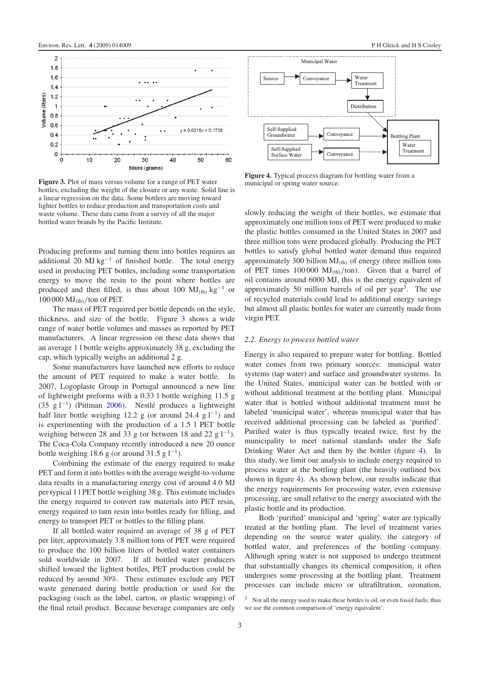<span id="page-2-0"></span>

**Figure 3.** Plot of mass versus volume for a range of PET water bottles, excluding the weight of the closure or any waste. Solid line is a linear regression on the data. Some bottlers are moving toward lighter bottles to reduce production and transportation costs and waste volume. These data came from a survey of all the major bottled water brands by the Pacific Institute.

<span id="page-2-2"></span>

**Figure 4.** Typical process diagram for bottling water from a municipal or spring water source.

Producing preforms and turning them into bottles requires an additional 20 MJ kg<sup>-1</sup> of finished bottle. The total energy used in producing PET bottles, including some transportation energy to move the resin to the point where bottles are produced and then filled, is thus about 100  $MJ$ <sub>(th)</sub> kg<sup>-1</sup> or 100 000 MJ*(*th*)/*ton of PET.

The mass of PET required per bottle depends on the style, thickness, and size of the bottle. Figure [3](#page-2-0) shows a wide range of water bottle volumes and masses as reported by PET manufacturers. A linear regression on these data shows that an average 1 l bottle weighs approximately 38 g, excluding the cap, which typically weighs an additional 2 g.

Some manufacturers have launched new efforts to reduce the amount of PET required to make a water bottle. In 2007, Logoplaste Group in Portugal announced a new line of lightweight preforms with a 0.33 l bottle weighing 11.5 g (35 g l<sup>-1</sup>) (Pittman [2006\)](#page-5-5). Nestlé produces a lightweight half liter bottle weighing 12.2 g (or around 24*.*4 gl<sup>−</sup>1) and is experimenting with the production of a 1.5 l PET bottle weighing between 28 and 33 g (or between 18 and 22 g  $1^{-1}$ ). The Coca-Cola Company recently introduced a new 20 ounce bottle weighing 18.6 g (or around 31.5 g  $1^{-1}$ ).

Combining the estimate of the energy required to make PET and form it into bottles with the average weight-to-volume data results in a manufacturing energy cost of around 4.0 MJ per typical 1 l PET bottle weighing 38 g. This estimate includes the energy required to convert raw materials into PET resin, energy required to turn resin into bottles ready for filling, and energy to transport PET or bottles to the filling plant.

If all bottled water required an average of 38 g of PET per liter, approximately 3.8 million tons of PET were required to produce the 100 billion liters of bottled water containers sold worldwide in 2007. If all bottled water producers shifted toward the lightest bottles, PET production could be reduced by around 30%. These estimates exclude any PET waste generated during bottle production or used for the packaging (such as the label, carton, or plastic wrapping) of the final retail product. Because beverage companies are only slowly reducing the weight of their bottles, we estimate that approximately one million tons of PET were produced to make the plastic bottles consumed in the United States in 2007 and three million tons were produced globally. Producing the PET bottles to satisfy global bottled water demand thus required approximately 300 billion MJ*(*th*)* of energy (three million tons of PET times 100 000 MJ*(*th*)/*ton). Given that a barrel of oil contains around 6000 MJ, this is the energy equivalent of approximately 50 million barrels of oil per year<sup>3</sup>. The use of recycled materials could lead to additional energy savings but almost all plastic bottles for water are currently made from virgin PET.

#### *2.2. Energy to process bottled water*

Energy is also required to prepare water for bottling. Bottled water comes from two primary sources: municipal water systems (tap water) and surface and groundwater systems. In the United States, municipal water can be bottled with or without additional treatment at the bottling plant. Municipal water that is bottled without additional treatment must be labeled 'municipal water', whereas municipal water that has received additional processing can be labeled as 'purified'. Purified water is thus typically treated twice, first by the municipality to meet national standards under the Safe Drinking Water Act and then by the bottler (figure [4\)](#page-2-2). In this study, we limit our analysis to include energy required to process water at the bottling plant (the heavily outlined box shown in figure [4\)](#page-2-2). As shown below, our results indicate that the energy requirements for processing water, even extensive processing, are small relative to the energy associated with the plastic bottle and its production.

<span id="page-2-1"></span>Both 'purified' municipal and 'spring' water are typically treated at the bottling plant. The level of treatment varies depending on the source water quality, the category of bottled water, and preferences of the bottling company. Although spring water is not supposed to undergo treatment that substantially changes its chemical composition, it often undergoes some processing at the bottling plant. Treatment processes can include micro or ultrafiltration, ozonation,

<sup>&</sup>lt;sup>3</sup> Not all the energy used to make these bottles is oil, or even fossil fuels; thus we use the common comparison of 'energy equivalent'.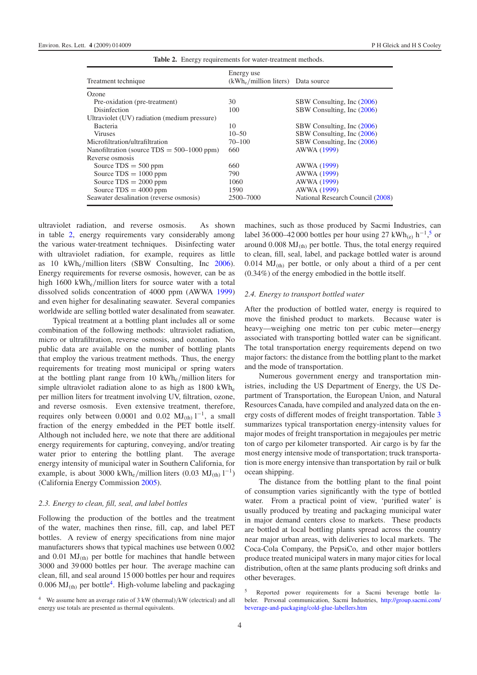<span id="page-3-0"></span>

| Table 2. Energy requirements for water-treatment methods. |                                                              |                                  |  |
|-----------------------------------------------------------|--------------------------------------------------------------|----------------------------------|--|
| Treatment technique                                       | Energy use<br>(kWh <sub>e</sub> /million liters) Data source |                                  |  |
| Ozone                                                     |                                                              |                                  |  |
| Pre-oxidation (pre-treatment)                             | 30                                                           | SBW Consulting, Inc (2006)       |  |
| Disinfection                                              | 100                                                          | SBW Consulting, Inc (2006)       |  |
| Ultraviolet (UV) radiation (medium pressure)              |                                                              |                                  |  |
| Bacteria                                                  | 10                                                           | SBW Consulting, Inc (2006)       |  |
| <b>Viruses</b>                                            | $10 - 50$                                                    | SBW Consulting, Inc (2006)       |  |
| Microfiltration/ultrafiltration                           | $70 - 100$                                                   | SBW Consulting, Inc (2006)       |  |
| Nanofiltration (source $TDS = 500-1000$ ppm)              | 660                                                          | AWWA (1999)                      |  |
| Reverse osmosis                                           |                                                              |                                  |  |
| Source $TDS = 500$ ppm                                    | 660                                                          | AWWA (1999)                      |  |
| Source $TDS = 1000$ ppm                                   | 790                                                          | AWWA (1999)                      |  |
| Source $TDS = 2000$ ppm                                   | 1060                                                         | AWWA (1999)                      |  |
| Source $TDS = 4000$ ppm                                   | 1590                                                         | AWWA (1999)                      |  |
| Seawater desalination (reverse osmosis)                   | 2500-7000                                                    | National Research Council (2008) |  |

ultraviolet radiation, and reverse osmosis. As shown in table [2,](#page-3-0) energy requirements vary considerably among the various water-treatment techniques. Disinfecting water with ultraviolet radiation, for example, requires as little as 10 kWhe*/*million liters (SBW Consulting, Inc [2006\)](#page-5-6). Energy requirements for reverse osmosis, however, can be as high 1600 kWh<sub>e</sub>/million liters for source water with a total dissolved solids concentration of 4000 ppm (AWWA [1999\)](#page-5-7) and even higher for desalinating seawater. Several companies worldwide are selling bottled water desalinated from seawater.

Typical treatment at a bottling plant includes all or some combination of the following methods: ultraviolet radiation, micro or ultrafiltration, reverse osmosis, and ozonation. No public data are available on the number of bottling plants that employ the various treatment methods. Thus, the energy requirements for treating most municipal or spring waters at the bottling plant range from 10 kWhe*/*million liters for simple ultraviolet radiation alone to as high as 1800 kWhe per million liters for treatment involving UV, filtration, ozone, and reverse osmosis. Even extensive treatment, therefore, requires only between 0.0001 and 0.02  $MJ$ <sub>(th)</sub> l<sup>-1</sup>, a small fraction of the energy embedded in the PET bottle itself. Although not included here, we note that there are additional energy requirements for capturing, conveying, and/or treating water prior to entering the bottling plant. The average energy intensity of municipal water in Southern California, for example, is about 3000 kWhe*/*million liters (0*.*03 MJ*(*th*)* l <sup>−</sup>1) (California Energy Commission [2005\)](#page-5-9).

#### *2.3. Energy to clean, fill, seal, and label bottles*

<span id="page-3-1"></span>Following the production of the bottles and the treatment of the water, machines then rinse, fill, cap, and label PET bottles. A review of energy specifications from nine major manufacturers shows that typical machines use between 0.002 and 0*.*01 MJ*(*th*)* per bottle for machines that handle between 3000 and 39 000 bottles per hour. The average machine can clean, fill, and seal around 15 000 bottles per hour and requires  $0.006 \mathrm{MJ}_{\text{(th)}}$  per bottle<sup>4</sup>. High-volume labeling and packaging machines, such as those produced by Sacmi Industries, can label 36 000–42 000 bottles per hour using 27 kWh*(*e*)* h<sup>−</sup>1, [5](#page-3-2) or around 0*.*008 MJ*(*th*)* per bottle. Thus, the total energy required to clean, fill, seal, label, and package bottled water is around  $0.014 \text{ MJ}_{\text{(th)}}$  per bottle, or only about a third of a per cent (0.34%) of the energy embodied in the bottle itself.

#### *2.4. Energy to transport bottled water*

After the production of bottled water, energy is required to move the finished product to markets. Because water is heavy—weighing one metric ton per cubic meter—energy associated with transporting bottled water can be significant. The total transportation energy requirements depend on two major factors: the distance from the bottling plant to the market and the mode of transportation.

Numerous government energy and transportation ministries, including the US Department of Energy, the US Department of Transportation, the European Union, and Natural Resources Canada, have compiled and analyzed data on the energy costs of different modes of freight transportation. Table [3](#page-4-0) summarizes typical transportation energy-intensity values for major modes of freight transportation in megajoules per metric ton of cargo per kilometer transported. Air cargo is by far the most energy intensive mode of transportation; truck transportation is more energy intensive than transportation by rail or bulk ocean shipping.

The distance from the bottling plant to the final point of consumption varies significantly with the type of bottled water. From a practical point of view, 'purified water' is usually produced by treating and packaging municipal water in major demand centers close to markets. These products are bottled at local bottling plants spread across the country near major urban areas, with deliveries to local markets. The Coca-Cola Company, the PepsiCo, and other major bottlers produce treated municipal waters in many major cities for local distribution, often at the same plants producing soft drinks and other beverages.

<sup>4</sup> We assume here an average ratio of 3 kW (thermal)*/*kW (electrical) and all energy use totals are presented as thermal equivalents.

<span id="page-3-2"></span><sup>5</sup> Reported power requirements for a Sacmi beverage bottle labeler. Personal communication, Sacmi Industries, [http://group.sacmi.com/](http://group.sacmi.com/beverage-and-packaging/cold-glue-labellers.htm) [beverage-and-packaging/cold-glue-labellers.htm](http://group.sacmi.com/beverage-and-packaging/cold-glue-labellers.htm)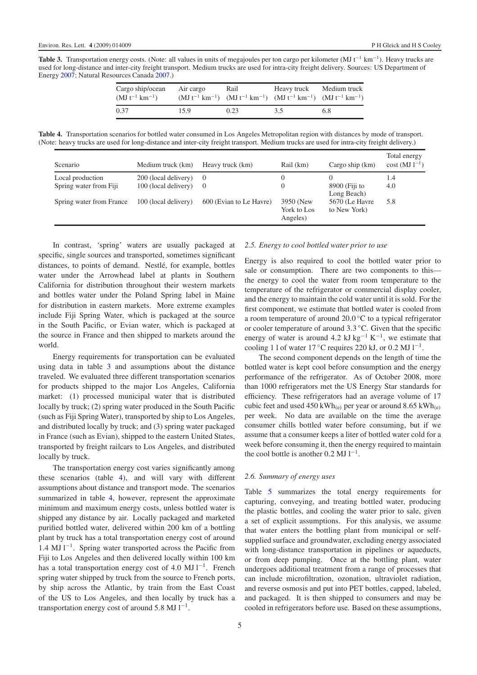<span id="page-4-1"></span><span id="page-4-0"></span>Table 3. Transportation energy costs. (Note: all values in units of megajoules per ton cargo per kilometer (MJ t<sup>-1</sup> km<sup>-1</sup>). Heavy trucks are used for long-distance and inter-city freight transport. Medium trucks are used for intra-city freight delivery. Sources: US Department of Energy [2007;](#page-5-10) Natural Resources Canada [2007.](#page-5-11))

| Cargo ship/ocean<br>$(MJ t^{-1} km^{-1})$ | Air cargo | Rail | Heavy truck Medium truck<br>$(MJ t^{-1} km^{-1})$ $(MJ t^{-1} km^{-1})$ $(MJ t^{-1} km^{-1})$ $(MJ t^{-1} km^{-1})$ |     |
|-------------------------------------------|-----------|------|---------------------------------------------------------------------------------------------------------------------|-----|
| 0.37                                      | 15.9      | 0.23 | 3.5                                                                                                                 | 6.8 |

**Table 4.** Transportation scenarios for bottled water consumed in Los Angeles Metropolitan region with distances by mode of transport. (Note: heavy trucks are used for long-distance and inter-city freight transport. Medium trucks are used for intra-city freight delivery.)

| Scenario                 | Medium truck (km)    | Heavy truck (km)        | Rail (km)                            | Cargo ship $(km)$              | Total energy<br>$\cot(MJ1^{-1})$ |
|--------------------------|----------------------|-------------------------|--------------------------------------|--------------------------------|----------------------------------|
| Local production         | 200 (local delivery) | 0                       | $\theta$                             |                                | 1.4                              |
| Spring water from Fiji   | 100 (local delivery) | $\overline{0}$          | $\theta$                             | $8900$ (Fiji to<br>Long Beach) | 4.0                              |
| Spring water from France | 100 (local delivery) | 600 (Evian to Le Havre) | 3950 (New<br>York to Los<br>Angeles) | 5670 (Le Havre<br>to New York) | 5.8                              |

In contrast, 'spring' waters are usually packaged at specific, single sources and transported, sometimes significant distances, to points of demand. Nestlé, for example, bottles water under the Arrowhead label at plants in Southern California for distribution throughout their western markets and bottles water under the Poland Spring label in Maine for distribution in eastern markets. More extreme examples include Fiji Spring Water, which is packaged at the source in the South Pacific, or Evian water, which is packaged at the source in France and then shipped to markets around the world.

Energy requirements for transportation can be evaluated using data in table [3](#page-4-0) and assumptions about the distance traveled. We evaluated three different transportation scenarios for products shipped to the major Los Angeles, California market: (1) processed municipal water that is distributed locally by truck; (2) spring water produced in the South Pacific (such as Fiji Spring Water), transported by ship to Los Angeles, and distributed locally by truck; and (3) spring water packaged in France (such as Evian), shipped to the eastern United States, transported by freight railcars to Los Angeles, and distributed locally by truck.

The transportation energy cost varies significantly among these scenarios (table [4\)](#page-4-1), and will vary with different assumptions about distance and transport mode. The scenarios summarized in table [4,](#page-4-1) however, represent the approximate minimum and maximum energy costs, unless bottled water is shipped any distance by air. Locally packaged and marketed purified bottled water, delivered within 200 km of a bottling plant by truck has a total transportation energy cost of around 1*.*4 MJ l<sup>−</sup>1. Spring water transported across the Pacific from Fiji to Los Angeles and then delivered locally within 100 km has a total transportation energy cost of 4.0 MJ l<sup>−1</sup>. French spring water shipped by truck from the source to French ports, by ship across the Atlantic, by train from the East Coast of the US to Los Angeles, and then locally by truck has a transportation energy cost of around  $5.8 \text{ MJ } \mathrm{l}^{-1}$ .

### *2.5. Energy to cool bottled water prior to use*

Energy is also required to cool the bottled water prior to sale or consumption. There are two components to this the energy to cool the water from room temperature to the temperature of the refrigerator or commercial display cooler, and the energy to maintain the cold water until it is sold. For the first component, we estimate that bottled water is cooled from a room temperature of around 20*.*0 ◦C to a typical refrigerator or cooler temperature of around 3*.*3 ◦C. Given that the specific energy of water is around 4.2 kJ kg<sup>-1</sup> K<sup>-1</sup>, we estimate that cooling 1 l of water  $17^{\circ}$ C requires 220 kJ, or 0.2 MJ  $1^{-1}$ .

The second component depends on the length of time the bottled water is kept cool before consumption and the energy performance of the refrigerator. As of October 2008, more than 1000 refrigerators met the US Energy Star standards for efficiency. These refrigerators had an average volume of 17 cubic feet and used 450 kWh*(*e*)* per year or around 8*.*65 kWh*(*e*)* per week. No data are available on the time the average consumer chills bottled water before consuming, but if we assume that a consumer keeps a liter of bottled water cold for a week before consuming it, then the energy required to maintain the cool bottle is another  $0.2$  MJ  $1^{-1}$ .

#### *2.6. Summary of energy uses*

Table [5](#page-5-12) summarizes the total energy requirements for capturing, conveying, and treating bottled water, producing the plastic bottles, and cooling the water prior to sale, given a set of explicit assumptions. For this analysis, we assume that water enters the bottling plant from municipal or selfsupplied surface and groundwater, excluding energy associated with long-distance transportation in pipelines or aqueducts, or from deep pumping. Once at the bottling plant, water undergoes additional treatment from a range of processes that can include microfiltration, ozonation, ultraviolet radiation, and reverse osmosis and put into PET bottles, capped, labeled, and packaged. It is then shipped to consumers and may be cooled in refrigerators before use. Based on these assumptions,